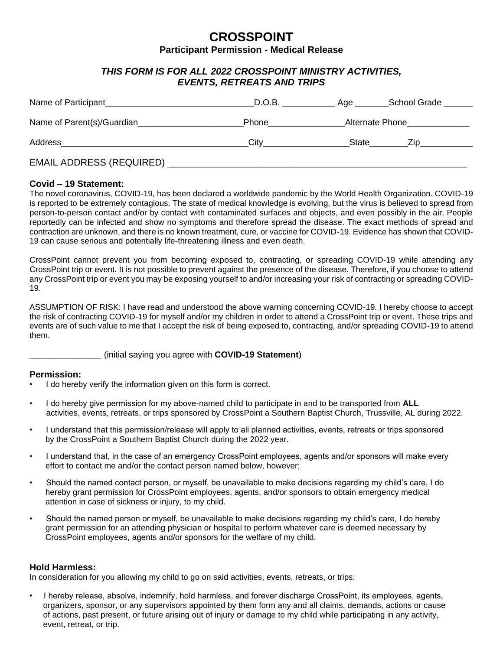# **CROSSPOINT Participant Permission - Medical Release**

## *THIS FORM IS FOR ALL 2022 CROSSPOINT MINISTRY ACTIVITIES, EVENTS, RETREATS AND TRIPS*

| Name of Participant             | D.O.B. | Age __          | School Grade |
|---------------------------------|--------|-----------------|--------------|
| Name of Parent(s)/Guardian      | Phone  | Alternate Phone |              |
| Address                         | City   | State           | Zip          |
| <b>EMAIL ADDRESS (REQUIRED)</b> |        |                 |              |

### **Covid – 19 Statement:**

The novel coronavirus, COVID-19, has been declared a worldwide pandemic by the World Health Organization. COVID-19 is reported to be extremely contagious. The state of medical knowledge is evolving, but the virus is believed to spread from person-to-person contact and/or by contact with contaminated surfaces and objects, and even possibly in the air. People reportedly can be infected and show no symptoms and therefore spread the disease. The exact methods of spread and contraction are unknown, and there is no known treatment, cure, or vaccine for COVID-19. Evidence has shown that COVID-19 can cause serious and potentially life-threatening illness and even death.

CrossPoint cannot prevent you from becoming exposed to, contracting, or spreading COVID-19 while attending any CrossPoint trip or event. It is not possible to prevent against the presence of the disease. Therefore, if you choose to attend any CrossPoint trip or event you may be exposing yourself to and/or increasing your risk of contracting or spreading COVID-19.

ASSUMPTION OF RISK: I have read and understood the above warning concerning COVID-19. I hereby choose to accept the risk of contracting COVID-19 for myself and/or my children in order to attend a CrossPoint trip or event. These trips and events are of such value to me that I accept the risk of being exposed to, contracting, and/or spreading COVID-19 to attend them.

#### **\_\_\_\_\_\_\_\_\_\_\_\_\_\_\_** (initial saying you agree with **COVID-19 Statement**)

#### **Permission:**

- I do hereby verify the information given on this form is correct.
- I do hereby give permission for my above-named child to participate in and to be transported from **ALL**  activities, events, retreats, or trips sponsored by CrossPoint a Southern Baptist Church, Trussville, AL during 2022.
- I understand that this permission/release will apply to all planned activities, events, retreats or trips sponsored by the CrossPoint a Southern Baptist Church during the 2022 year.
- I understand that, in the case of an emergency CrossPoint employees, agents and/or sponsors will make every effort to contact me and/or the contact person named below, however;
- Should the named contact person, or myself, be unavailable to make decisions regarding my child's care, I do hereby grant permission for CrossPoint employees, agents, and/or sponsors to obtain emergency medical attention in case of sickness or injury, to my child.
- Should the named person or myself, be unavailable to make decisions regarding my child's care, I do hereby grant permission for an attending physician or hospital to perform whatever care is deemed necessary by CrossPoint employees, agents and/or sponsors for the welfare of my child.

#### **Hold Harmless:**

In consideration for you allowing my child to go on said activities, events, retreats, or trips:

• I hereby release, absolve, indemnify, hold harmless, and forever discharge CrossPoint, its employees, agents, organizers, sponsor, or any supervisors appointed by them form any and all claims, demands, actions or cause of actions, past present, or future arising out of injury or damage to my child while participating in any activity, event, retreat, or trip.